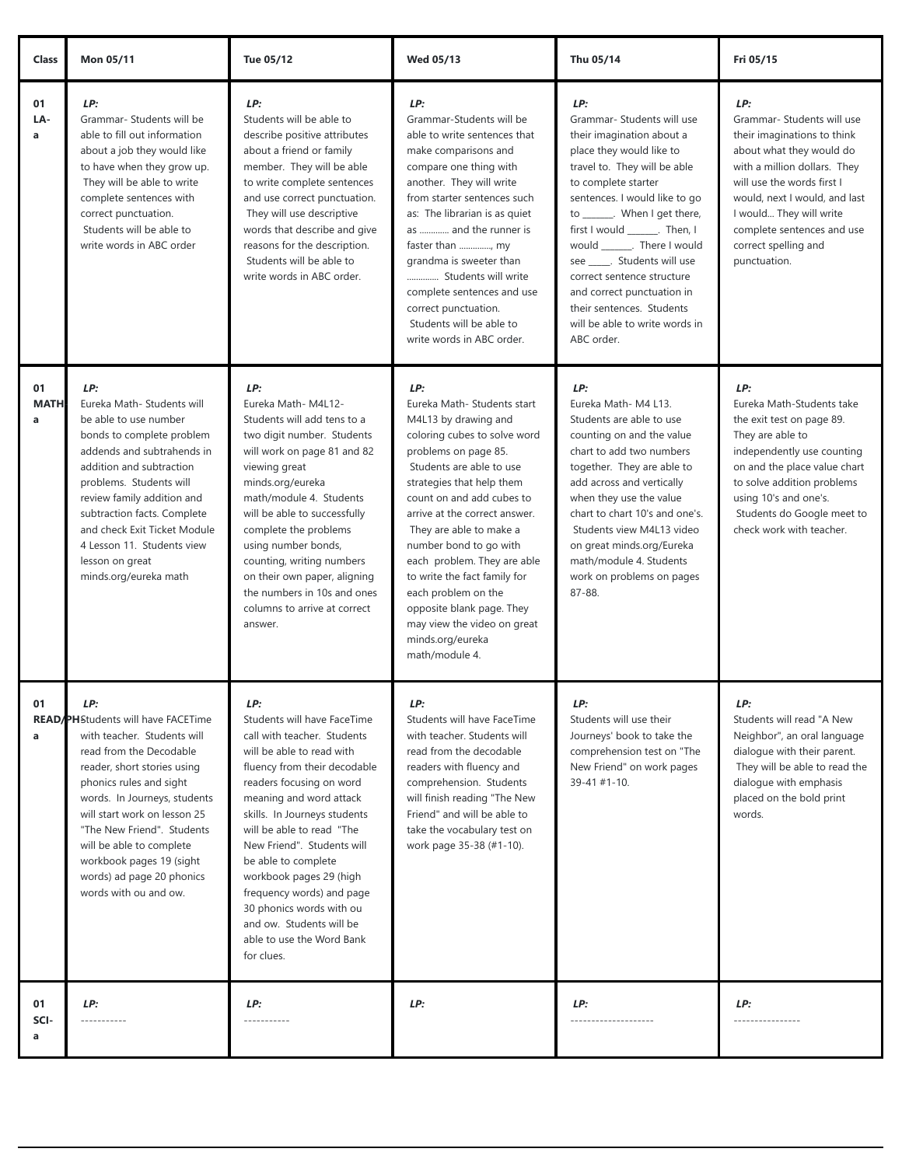| <b>Class</b>           | Mon 05/11                                                                                                                                                                                                                                                                                                                                                                        | Tue 05/12                                                                                                                                                                                                                                                                                                                                                                                                                                                          | <b>Wed 05/13</b>                                                                                                                                                                                                                                                                                                                                                                                                                                                                       | Thu 05/14                                                                                                                                                                                                                                                                                                                                                                                                                                                        | Fri 05/15                                                                                                                                                                                                                                                                                    |
|------------------------|----------------------------------------------------------------------------------------------------------------------------------------------------------------------------------------------------------------------------------------------------------------------------------------------------------------------------------------------------------------------------------|--------------------------------------------------------------------------------------------------------------------------------------------------------------------------------------------------------------------------------------------------------------------------------------------------------------------------------------------------------------------------------------------------------------------------------------------------------------------|----------------------------------------------------------------------------------------------------------------------------------------------------------------------------------------------------------------------------------------------------------------------------------------------------------------------------------------------------------------------------------------------------------------------------------------------------------------------------------------|------------------------------------------------------------------------------------------------------------------------------------------------------------------------------------------------------------------------------------------------------------------------------------------------------------------------------------------------------------------------------------------------------------------------------------------------------------------|----------------------------------------------------------------------------------------------------------------------------------------------------------------------------------------------------------------------------------------------------------------------------------------------|
| 01<br>LA-<br>a         | LP:<br>Grammar- Students will be<br>able to fill out information<br>about a job they would like<br>to have when they grow up.<br>They will be able to write<br>complete sentences with<br>correct punctuation.<br>Students will be able to<br>write words in ABC order                                                                                                           | LP:<br>Students will be able to<br>describe positive attributes<br>about a friend or family<br>member. They will be able<br>to write complete sentences<br>and use correct punctuation.<br>They will use descriptive<br>words that describe and give<br>reasons for the description.<br>Students will be able to<br>write words in ABC order.                                                                                                                      | LP:<br>Grammar-Students will be<br>able to write sentences that<br>make comparisons and<br>compare one thing with<br>another. They will write<br>from starter sentences such<br>as: The librarian is as quiet<br>as  and the runner is<br>faster than , my<br>grandma is sweeter than<br>Students will write<br>complete sentences and use<br>correct punctuation.<br>Students will be able to<br>write words in ABC order.                                                            | LP:<br>Grammar- Students will use<br>their imagination about a<br>place they would like to<br>travel to. They will be able<br>to complete starter<br>sentences. I would like to go<br>to _______. When I get there,<br>first I would _______. Then, I<br>would ________. There I would<br>see ______. Students will use<br>correct sentence structure<br>and correct punctuation in<br>their sentences. Students<br>will be able to write words in<br>ABC order. | LP:<br>Grammar- Students will use<br>their imaginations to think<br>about what they would do<br>with a million dollars. They<br>will use the words first I<br>would, next I would, and last<br>I would They will write<br>complete sentences and use<br>correct spelling and<br>punctuation. |
| 01<br><b>MATH</b><br>a | LP:<br>Eureka Math- Students will<br>be able to use number<br>bonds to complete problem<br>addends and subtrahends in<br>addition and subtraction<br>problems. Students will<br>review family addition and<br>subtraction facts. Complete<br>and check Exit Ticket Module<br>4 Lesson 11. Students view<br>lesson on great<br>minds.org/eureka math                              | LP:<br>Eureka Math-M4L12-<br>Students will add tens to a<br>two digit number. Students<br>will work on page 81 and 82<br>viewing great<br>minds.org/eureka<br>math/module 4. Students<br>will be able to successfully<br>complete the problems<br>using number bonds,<br>counting, writing numbers<br>on their own paper, aligning<br>the numbers in 10s and ones<br>columns to arrive at correct<br>answer.                                                       | LP:<br>Eureka Math- Students start<br>M4L13 by drawing and<br>coloring cubes to solve word<br>problems on page 85.<br>Students are able to use<br>strategies that help them<br>count on and add cubes to<br>arrive at the correct answer.<br>They are able to make a<br>number bond to go with<br>each problem. They are able<br>to write the fact family for<br>each problem on the<br>opposite blank page. They<br>may view the video on great<br>minds.org/eureka<br>math/module 4. | LP:<br>Eureka Math-M4 L13.<br>Students are able to use<br>counting on and the value<br>chart to add two numbers<br>together. They are able to<br>add across and vertically<br>when they use the value<br>chart to chart 10's and one's.<br>Students view M4L13 video<br>on great minds.org/Eureka<br>math/module 4. Students<br>work on problems on pages<br>87-88.                                                                                              | LP:<br>Eureka Math-Students take<br>the exit test on page 89.<br>They are able to<br>independently use counting<br>on and the place value chart<br>to solve addition problems<br>using 10's and one's.<br>Students do Google meet to<br>check work with teacher.                             |
| 01<br>a                | LP:<br><b>READ/PHStudents will have FACETime</b><br>with teacher. Students will<br>read from the Decodable<br>reader, short stories using<br>phonics rules and sight<br>words. In Journeys, students<br>will start work on lesson 25<br>"The New Friend". Students<br>will be able to complete<br>workbook pages 19 (sight<br>words) ad page 20 phonics<br>words with ou and ow. | LP:<br>Students will have FaceTime<br>call with teacher. Students<br>will be able to read with<br>fluency from their decodable<br>readers focusing on word<br>meaning and word attack<br>skills. In Journeys students<br>will be able to read "The<br>New Friend". Students will<br>be able to complete<br>workbook pages 29 (high<br>frequency words) and page<br>30 phonics words with ou<br>and ow. Students will be<br>able to use the Word Bank<br>for clues. | LP:<br>Students will have FaceTime<br>with teacher. Students will<br>read from the decodable<br>readers with fluency and<br>comprehension. Students<br>will finish reading "The New<br>Friend" and will be able to<br>take the vocabulary test on<br>work page 35-38 (#1-10).                                                                                                                                                                                                          | LP:<br>Students will use their<br>Journeys' book to take the<br>comprehension test on "The<br>New Friend" on work pages<br>$39 - 41 # 1 - 10.$                                                                                                                                                                                                                                                                                                                   | LP:<br>Students will read "A New<br>Neighbor", an oral language<br>dialoque with their parent.<br>They will be able to read the<br>dialogue with emphasis<br>placed on the bold print<br>words.                                                                                              |
| 01<br>SCI-<br>a        | LP:<br>-----------                                                                                                                                                                                                                                                                                                                                                               | LP:<br>-----------                                                                                                                                                                                                                                                                                                                                                                                                                                                 | LP:                                                                                                                                                                                                                                                                                                                                                                                                                                                                                    | LP:<br>--------------------                                                                                                                                                                                                                                                                                                                                                                                                                                      | LP:<br>----------------                                                                                                                                                                                                                                                                      |